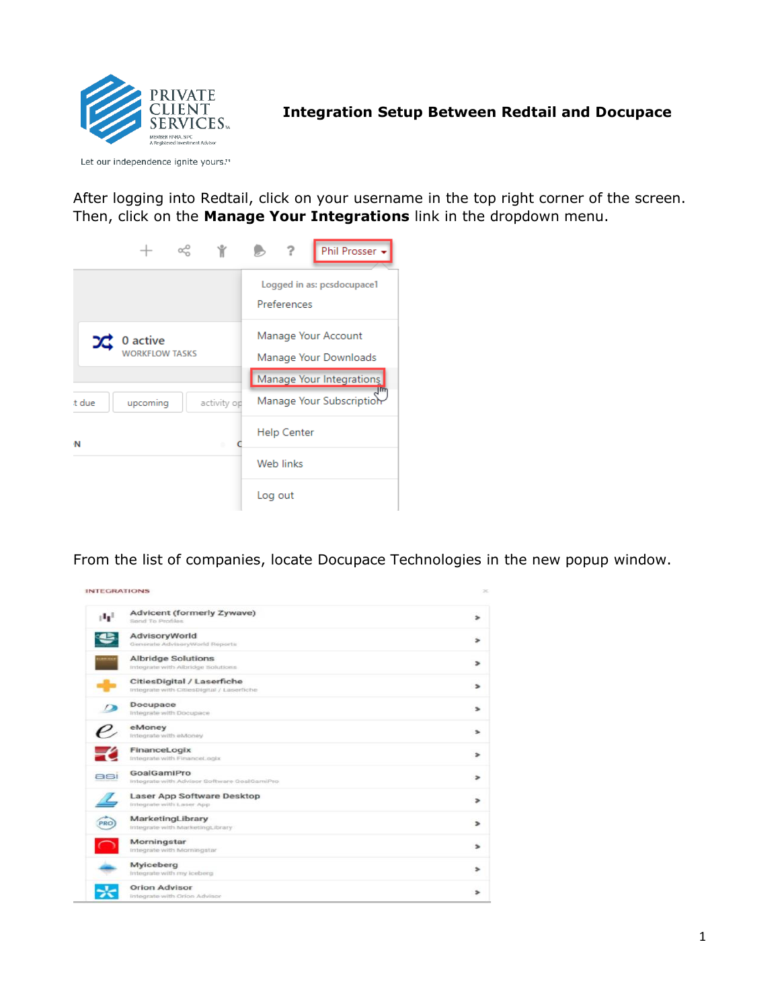

## **Integration Setup Between Redtail and Docupace**

Let our independence ignite yours.™

After logging into Redtail, click on your username in the top right corner of the screen. Then, click on the **Manage Your Integrations** link in the dropdown menu.

|                       |             | Phil Prosser +<br>7                       |
|-----------------------|-------------|-------------------------------------------|
|                       |             | Logged in as: pcsdocupace1<br>Preferences |
| $24$ 0 active         |             | Manage Your Account                       |
| <b>WORKFLOW TASKS</b> |             | Manage Your Downloads                     |
|                       |             | Manage Your Integrations                  |
| upcoming<br>t due     | activity op | Manage Your Subscriptior                  |
| N                     |             | Help Center                               |
|                       |             | Web links                                 |
|                       |             | Log out                                   |

From the list of companies, locate Docupace Technologies in the new popup window.

| stel. | Advicent (formerly Zywave)                  |  |
|-------|---------------------------------------------|--|
|       | Send To Profiles                            |  |
|       | <b>AdvisoryWorld</b>                        |  |
|       | Generate AdvisoryWorld Reports              |  |
|       | <b>Albridge Solutions</b>                   |  |
|       | Integrate with Albridge Solutions           |  |
|       | CitiesDigital / Laserfiche                  |  |
|       | Integrate with CitiesDigital / Laserfiche-  |  |
|       | Docupace                                    |  |
|       | Integrate with Docupace                     |  |
|       | eMoney                                      |  |
|       | Integrate with eMoney                       |  |
|       | FinanceLogix                                |  |
|       | Integrate with FinanceLogix                 |  |
| asi   | GoalGamiPro                                 |  |
|       | Integrate with Advisor Software GoalGamiPro |  |
|       | Laser App Software Desktop                  |  |
|       | integrate with Laser App                    |  |
| PRO   | MarketingLibrary                            |  |
|       | Integrate with Marketingt Ibrary            |  |
|       | Morningstar                                 |  |
|       | integrate with Morningstar                  |  |
|       | Myiceberg                                   |  |
|       | Integrate with my iceberg                   |  |
|       | <b>Orion Advisor</b>                        |  |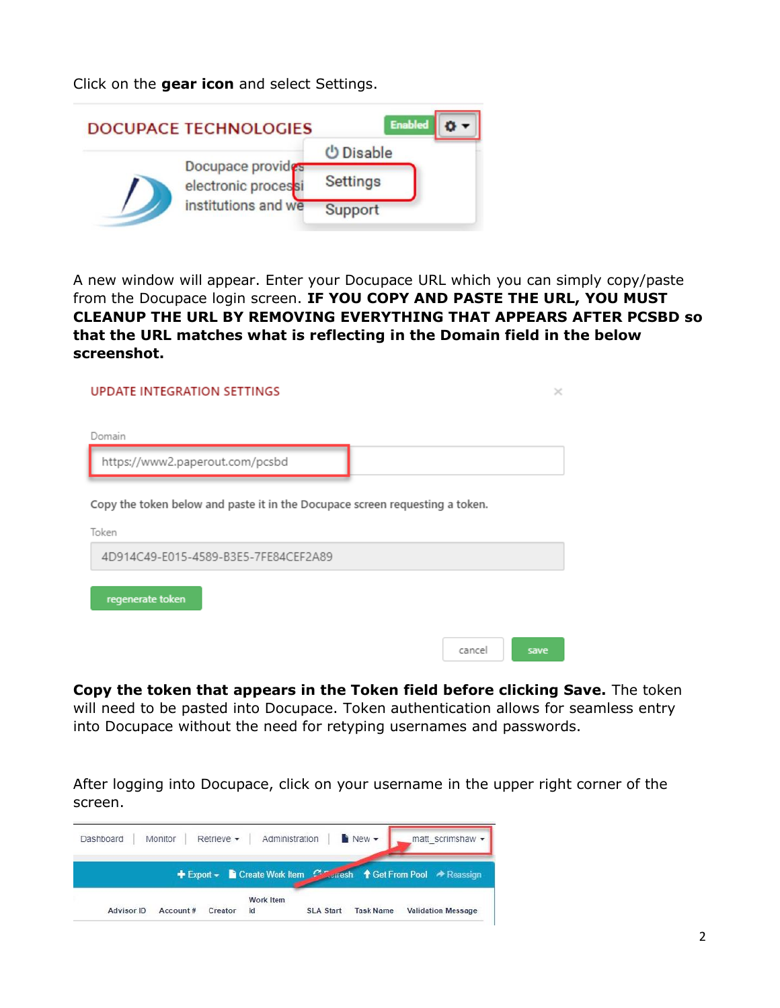Click on the **gear icon** and select Settings.



A new window will appear. Enter your Docupace URL which you can simply copy/paste from the Docupace login screen. **IF YOU COPY AND PASTE THE URL, YOU MUST CLEANUP THE URL BY REMOVING EVERYTHING THAT APPEARS AFTER PCSBD so that the URL matches what is reflecting in the Domain field in the below screenshot.**

| <b>UPDATE INTEGRATION SETTINGS</b>                                                    | ×    |
|---------------------------------------------------------------------------------------|------|
|                                                                                       |      |
| Domain                                                                                |      |
| https://www2.paperout.com/pcsbd                                                       |      |
| Copy the token below and paste it in the Docupace screen requesting a token.<br>Token |      |
| 4D914C49-E015-4589-B3E5-7FE84CEF2A89                                                  |      |
| regenerate token                                                                      |      |
| cancel                                                                                | save |

**Copy the token that appears in the Token field before clicking Save.** The token will need to be pasted into Docupace. Token authentication allows for seamless entry into Docupace without the need for retyping usernames and passwords.

After logging into Docupace, click on your username in the upper right corner of the screen.

| Dashboard  | Monitor  | Retrieve - | Administration                      |                  | New -            | matt scrimshaw -           |
|------------|----------|------------|-------------------------------------|------------------|------------------|----------------------------|
|            |          |            | + Export - Create Work Item Courash |                  |                  | ↑ Get From Pool → Reassign |
| Advisor ID | Account# | Creator    | Work Item<br>ld                     | <b>SLA Start</b> | <b>Task Name</b> | <b>Validation Message</b>  |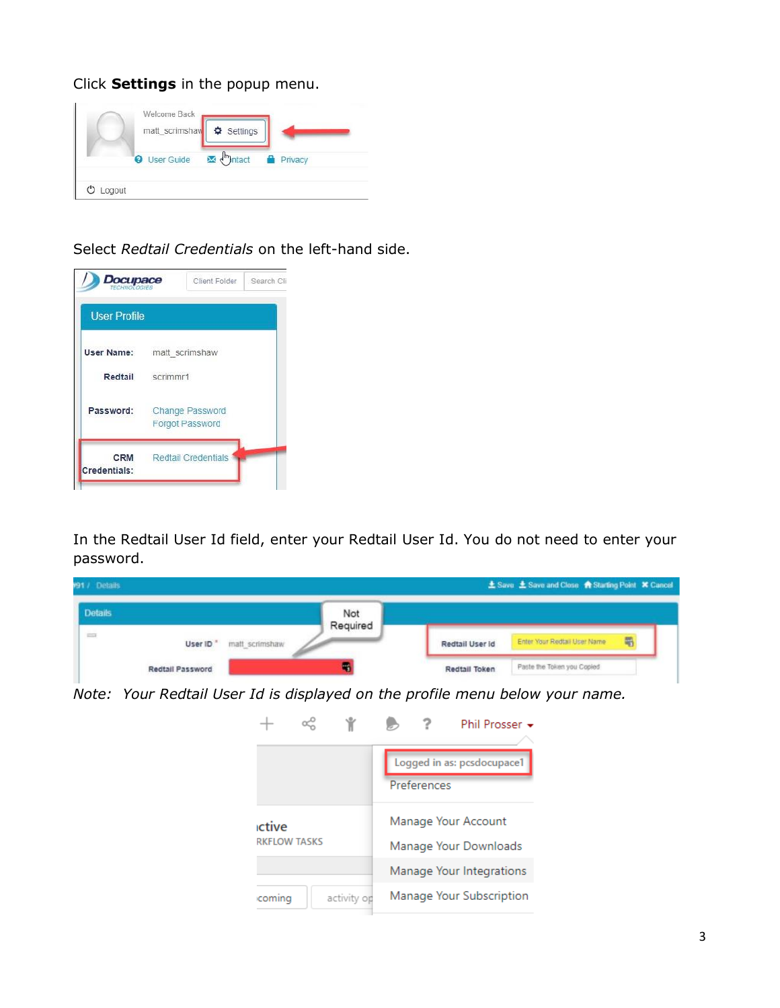Click **Settings** in the popup menu.

| matt_scrimshav  | Settings                         |         |
|-----------------|----------------------------------|---------|
| User Guide<br>മ | $\mathbf{M}$ $\mathbf{m}$ matact | Privacy |

Select *Redtail Credentials* on the left-hand side.



In the Redtail User Id field, enter your Redtail User Id. You do not need to enter your password.

| 991 / Details  |                                        |                 |                 | 土 Save 土 Save and Close 含 Starting Point X Cancel |
|----------------|----------------------------------------|-----------------|-----------------|---------------------------------------------------|
| <b>Details</b> |                                        | Not<br>Required |                 |                                                   |
| in a           | matt_scrimshaw<br>User ID <sup>*</sup> |                 | Redtail User Id | 蜀<br>Enter Your Redtail User Name                 |
|                | Redtail Password                       |                 | Redtail Token   | Paste the Token you Copied                        |

*Note: Your Redtail User Id is displayed on the profile menu below your name.*

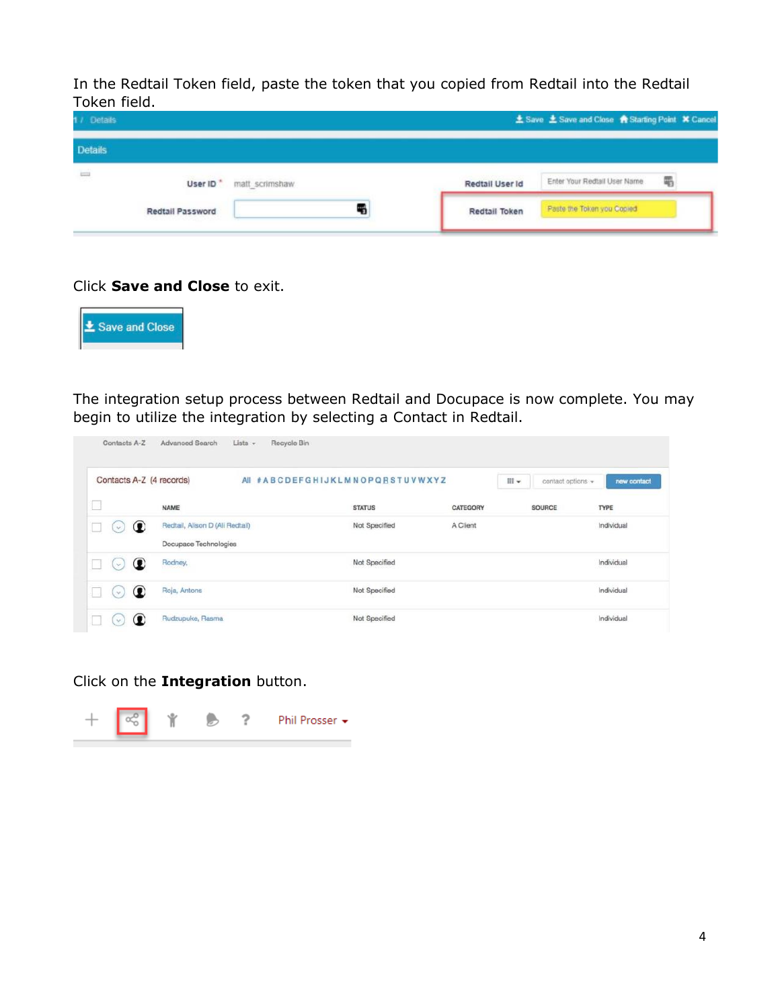In the Redtail Token field, paste the token that you copied from Redtail into the Redtail Token field.

| 1 / Details    |                      |                |                 | ▲ Save <b>± Save and Close 含 Starting Point ¥ Cancel</b> |   |
|----------------|----------------------|----------------|-----------------|----------------------------------------------------------|---|
| <b>Details</b> |                      |                |                 |                                                          |   |
| $\frac{1}{2}$  | User ID <sup>*</sup> | matt scrimshaw | Redtail User Id | Enter Your Redtail User Name                             | 黾 |
|                | Redtail Password     |                | Redtail Token   | Paste the Token you Copied                               |   |

## Click **Save and Close** to exit.



The integration setup process between Redtail and Docupace is now complete. You may begin to utilize the integration by selecting a Contact in Redtail.

| Contacts A-Z (4 records) |                                                          | AII #ABCDEFGHIJKLMNOPQRSTUVWXYZ |          | iii - | contact options = | new contact |
|--------------------------|----------------------------------------------------------|---------------------------------|----------|-------|-------------------|-------------|
| __                       | <b>NAME</b>                                              | <b>STATUS</b>                   | CATEGORY |       | <b>SOURCE</b>     | TYPE        |
| $\circ$<br>$\sim$        | Redtail, Alison D (Ali Redtail)<br>Docupace Technologies | Not Specified                   | A Client |       |                   | Individual  |
| œ<br>$\mathcal{L}$       | Rodney,                                                  | Not Specified                   |          |       |                   | Individual  |
| œ<br>$\omega$            | Roja, Antons                                             | Not Specified                   |          |       |                   | Individual  |

Click on the **Integration** button.

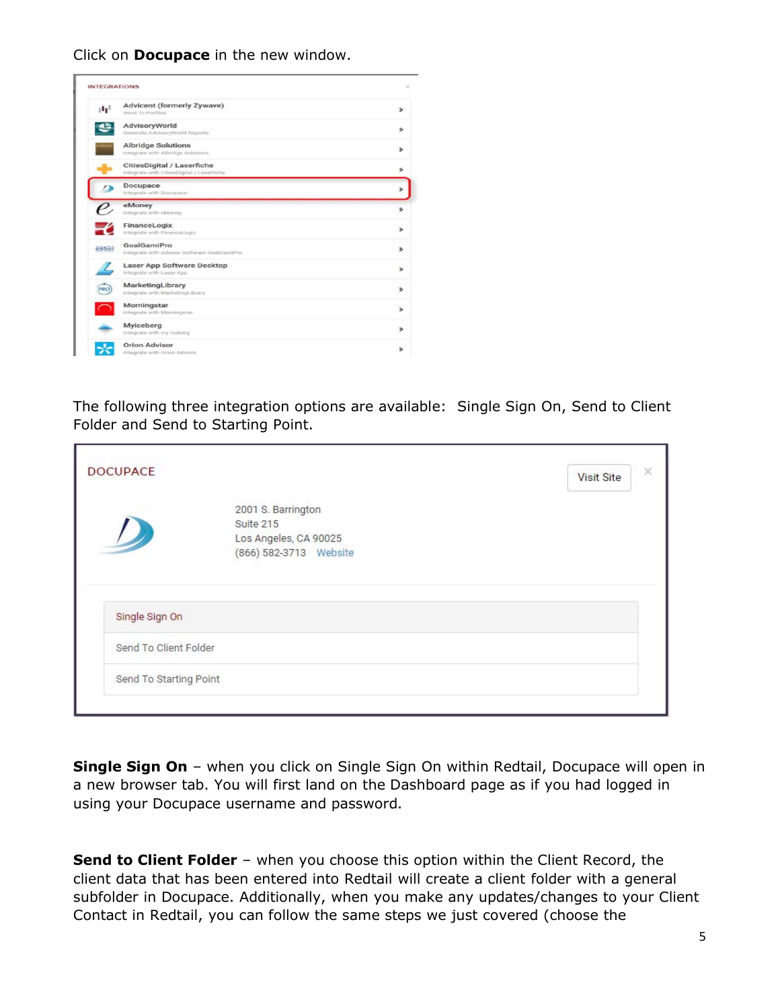Click on **Docupace** in the new window.

|       | <b>INTEGRATIONS</b>                                                     |  |
|-------|-------------------------------------------------------------------------|--|
| stel. | Advicent (formerly Zywave)<br>Send To Profiles                          |  |
|       | AdvisoryWorld<br>Generate AdvisoryWorld Reports                         |  |
|       | <b>Albridge Solutions</b><br>Integrate with Albridge Solutions          |  |
|       | CitiesDigital / Laserfiche<br>Integrate with CitiesDigital / Laserfiche |  |
|       | Docupace<br>Integrate with Docupace                                     |  |
|       | eMoney<br>Integrate with eMoney                                         |  |
|       | FinanceLogix<br>Integrate with Financel ogix                            |  |
| asi   | GoalGamiPro<br>Integrate with Advisor Software GoalGamiPro              |  |
|       | Laser App Software Desktop<br>Integrate with Leser App                  |  |
| PRO   | MarketingLibrary<br>Integrate with MarketingLibrary.                    |  |
|       | Morningstar<br>Integrate with Morningstar                               |  |
|       | Myiceberg<br>Integrate with my loeberg                                  |  |
|       | <b>Orion Advisor</b><br>Integrate with Orion Advisor                    |  |

The following three integration options are available: Single Sign On, Send to Client Folder and Send to Starting Point.

|                       |                                                                                    | <b>Visit Site</b> |
|-----------------------|------------------------------------------------------------------------------------|-------------------|
|                       | 2001 S. Barrington<br>Suite 215<br>Los Angeles, CA 90025<br>(866) 582-3713 Website |                   |
| Single Sign On        |                                                                                    |                   |
|                       |                                                                                    |                   |
| Send To Client Folder |                                                                                    |                   |

**Single Sign On** – when you click on Single Sign On within Redtail, Docupace will open in a new browser tab. You will first land on the Dashboard page as if you had logged in using your Docupace username and password.

**Send to Client Folder** - when you choose this option within the Client Record, the client data that has been entered into Redtail will create a client folder with a general subfolder in Docupace. Additionally, when you make any updates/changes to your Client Contact in Redtail, you can follow the same steps we just covered (choose the